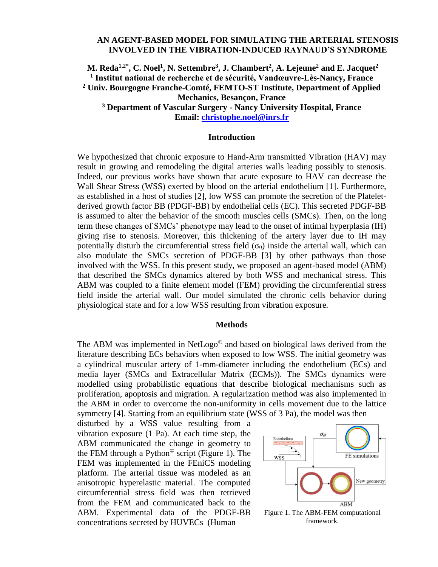## **AN AGENT-BASED MODEL FOR SIMULATING THE ARTERIAL STENOSIS INVOLVED IN THE VIBRATION-INDUCED RAYNAUD'S SYNDROME**

# **M. Reda1,2\* , C. Noel<sup>1</sup> , N. Settembre<sup>3</sup> , J. Chambert<sup>2</sup> , A. Lejeune<sup>2</sup> and E. Jacquet<sup>2</sup> 1 Institut national de recherche et de sécurité, Vandœuvre-Lès-Nancy, France <sup>2</sup> Univ. Bourgogne Franche-Comté, FEMTO-ST Institute, Department of Applied Mechanics, Besançon, France <sup>3</sup> Department of Vascular Surgery - Nancy University Hospital, France Email: [christophe.noel@inrs.fr](mailto:christophe.noel@inrs.fr)**

### **Introduction**

We hypothesized that chronic exposure to Hand-Arm transmitted Vibration (HAV) may result in growing and remodeling the digital arteries walls leading possibly to stenosis. Indeed, our previous works have shown that acute exposure to HAV can decrease the Wall Shear Stress (WSS) exerted by blood on the arterial endothelium [1]. Furthermore, as established in a host of studies [2], low WSS can promote the secretion of the Plateletderived growth factor BB (PDGF-BB) by endothelial cells (EC). This secreted PDGF-BB is assumed to alter the behavior of the smooth muscles cells (SMCs). Then, on the long term these changes of SMCs' phenotype may lead to the onset of intimal hyperplasia (IH) giving rise to stenosis. Moreover, this thickening of the artery layer due to IH may potentially disturb the circumferential stress field  $(\sigma_{\theta})$  inside the arterial wall, which can also modulate the SMCs secretion of PDGF-BB [3] by other pathways than those involved with the WSS. In this present study, we proposed an agent-based model (ABM) that described the SMCs dynamics altered by both WSS and mechanical stress. This ABM was coupled to a finite element model (FEM) providing the circumferential stress field inside the arterial wall. Our model simulated the chronic cells behavior during physiological state and for a low WSS resulting from vibration exposure.

#### **Methods**

The ABM was implemented in NetLogo<sup>©</sup> and based on biological laws derived from the literature describing ECs behaviors when exposed to low WSS. The initial geometry was a cylindrical muscular artery of 1-mm-diameter including the endothelium (ECs) and media layer (SMCs and Extracellular Matrix (ECMs)). The SMCs dynamics were modelled using probabilistic equations that describe biological mechanisms such as proliferation, apoptosis and migration. A regularization method was also implemented in the ABM in order to overcome the non-uniformity in cells movement due to the lattice symmetry [4]. Starting from an equilibrium state (WSS of 3 Pa), the model was then

disturbed by a WSS value resulting from a vibration exposure (1 Pa). At each time step, the ABM communicated the change in geometry to the FEM through a Python<sup> $\circ$ </sup> script (Figure 1). The FEM was implemented in the FEniCS modeling platform. The arterial tissue was modeled as an anisotropic hyperelastic material. The computed circumferential stress field was then retrieved from the FEM and communicated back to the ABM. Experimental data of the PDGF-BB concentrations secreted by HUVECs (Human



framework.